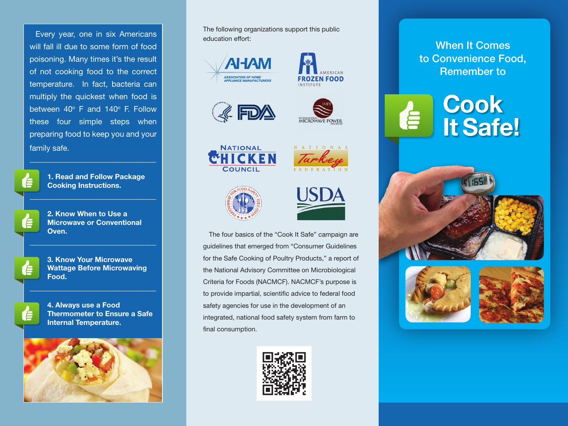Every year, one in six Americans will fall ill due to some form of food poisoning. Many times it's the result of not cooking food to the correct temperature. In fact, bacteria can multiply the quickest when food is between  $40^\circ$  F and  $140^\circ$  F. Follow these four simple steps when preparing food to keep you and your family safe.

**1. Read and Follow Package Cooking Instructions.**

**2. Know When to Use a Microwave or Conventional Oven.**

**3. Know Your Microwave Wattage Before Microwaving Food.**

**4. Always use a Food Thermometer to Ensure a Safe Internal Temperature.**



The following organizations support this public education effort:















The four basics of the "Cook It Safe" campaign are guidelines that emerged from "Consumer Guidelines for the Safe Cooking of Poultry Products," a report of the National Advisory Committee on Microbiological Criteria for Foods (NACMCF). NACMCF's purpose is to provide impartial, scientific advice to federal food safety agencies for use in the development of an integrated, national food safety system from farm to final consumption.



When It Comes to Convenience Food, Remember to

# **Cook It Safe!**